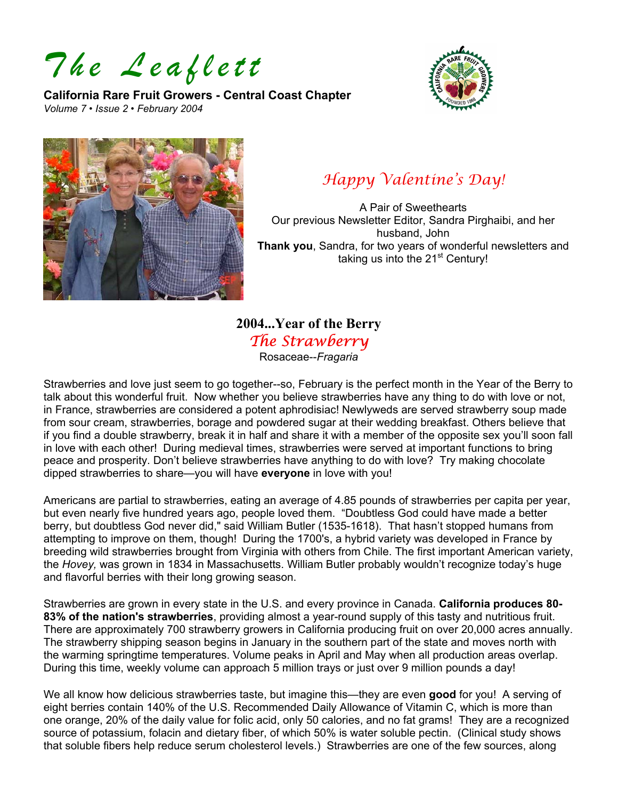*The Leaflett* 

**California Rare Fruit Growers - Central Coast Chapter**  *Volume 7 • Issue 2 • February 2004* 





# *Happy Valentine's Day!*

A Pair of Sweethearts Our previous Newsletter Editor, Sandra Pirghaibi, and her husband, John **Thank you**, Sandra, for two years of wonderful newsletters and taking us into the 21<sup>st</sup> Century!

# **2004...Year of the Berry**  *The Strawberry*

Rosaceae--*Fragaria*

Strawberries and love just seem to go together--so, February is the perfect month in the Year of the Berry to talk about this wonderful fruit. Now whether you believe strawberries have any thing to do with love or not, in France, strawberries are considered a potent aphrodisiac! Newlyweds are served strawberry soup made from sour cream, strawberries, borage and powdered sugar at their wedding breakfast. Others believe that if you find a double strawberry, break it in half and share it with a member of the opposite sex you'll soon fall in love with each other! During medieval times, strawberries were served at important functions to bring peace and prosperity. Don't believe strawberries have anything to do with love? Try making chocolate dipped strawberries to share—you will have **everyone** in love with you!

Americans are partial to strawberries, eating an average of 4.85 pounds of strawberries per capita per year, but even nearly five hundred years ago, people loved them. "Doubtless God could have made a better berry, but doubtless God never did," said William Butler (1535-1618). That hasn't stopped humans from attempting to improve on them, though! During the 1700's, a hybrid variety was developed in France by breeding wild strawberries brought from Virginia with others from Chile. The first important American variety, the *Hovey,* was grown in 1834 in Massachusetts. William Butler probably wouldn't recognize today's huge and flavorful berries with their long growing season.

Strawberries are grown in every state in the U.S. and every province in Canada. **California produces 80- 83% of the nation's strawberries**, providing almost a year-round supply of this tasty and nutritious fruit. There are approximately 700 strawberry growers in California producing fruit on over 20,000 acres annually. The strawberry shipping season begins in January in the southern part of the state and moves north with the warming springtime temperatures. Volume peaks in April and May when all production areas overlap. During this time, weekly volume can approach 5 million trays or just over 9 million pounds a day!

We all know how delicious strawberries taste, but imagine this—they are even **good** for you! A serving of eight berries contain 140% of the U.S. Recommended Daily Allowance of Vitamin C, which is more than one orange, 20% of the daily value for folic acid, only 50 calories, and no fat grams! They are a recognized source of potassium, folacin and dietary fiber, of which 50% is water soluble pectin. (Clinical study shows that soluble fibers help reduce serum cholesterol levels.) Strawberries are one of the few sources, along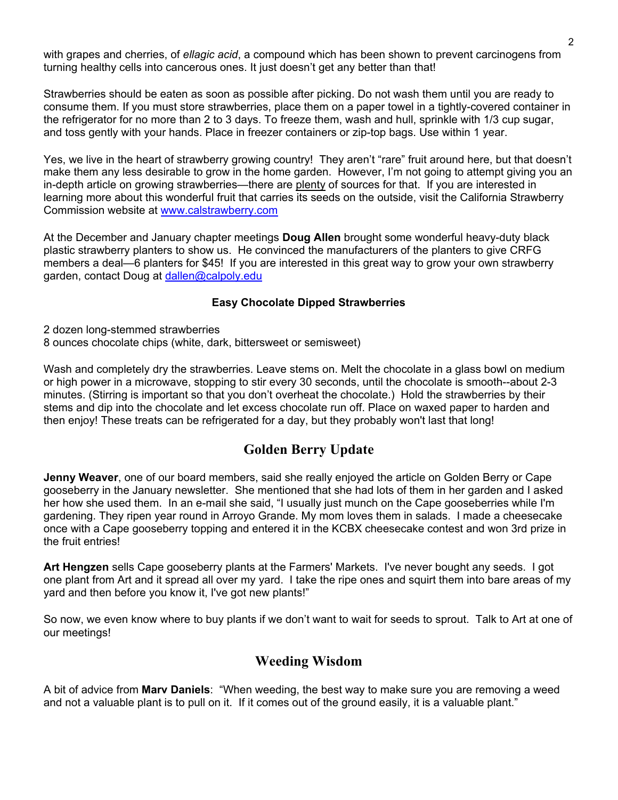with grapes and cherries, of *ellagic acid*, a compound which has been shown to prevent carcinogens from turning healthy cells into cancerous ones. It just doesn't get any better than that!

Strawberries should be eaten as soon as possible after picking. Do not wash them until you are ready to consume them. If you must store strawberries, place them on a paper towel in a tightly-covered container in the refrigerator for no more than 2 to 3 days. To freeze them, wash and hull, sprinkle with 1/3 cup sugar, and toss gently with your hands. Place in freezer containers or zip-top bags. Use within 1 year.

Yes, we live in the heart of strawberry growing country! They aren't "rare" fruit around here, but that doesn't make them any less desirable to grow in the home garden. However, I'm not going to attempt giving you an in-depth article on growing strawberries—there are plenty of sources for that. If you are interested in learning more about this wonderful fruit that carries its seeds on the outside, visit the California Strawberry Commission website at [www.calstrawberry.com](http://www.calstrawberry.com/)

At the December and January chapter meetings **Doug Allen** brought some wonderful heavy-duty black plastic strawberry planters to show us. He convinced the manufacturers of the planters to give CRFG members a deal—6 planters for \$45! If you are interested in this great way to grow your own strawberry garden, contact Doug at [dallen@calpoly.edu](mailto:dallen@calpoly.edu)

#### **Easy Chocolate Dipped Strawberries**

2 dozen long-stemmed strawberries

8 ounces chocolate chips (white, dark, bittersweet or semisweet)

Wash and completely dry the strawberries. Leave stems on. Melt the chocolate in a glass bowl on medium or high power in a microwave, stopping to stir every 30 seconds, until the chocolate is smooth--about 2-3 minutes. (Stirring is important so that you don't overheat the chocolate.) Hold the strawberries by their stems and dip into the chocolate and let excess chocolate run off. Place on waxed paper to harden and then enjoy! These treats can be refrigerated for a day, but they probably won't last that long!

## **Golden Berry Update**

**Jenny Weaver**, one of our board members, said she really enjoyed the article on Golden Berry or Cape gooseberry in the January newsletter. She mentioned that she had lots of them in her garden and I asked her how she used them. In an e-mail she said, "I usually just munch on the Cape gooseberries while I'm gardening. They ripen year round in Arroyo Grande. My mom loves them in salads. I made a cheesecake once with a Cape gooseberry topping and entered it in the KCBX cheesecake contest and won 3rd prize in the fruit entries!

**Art Hengzen** sells Cape gooseberry plants at the Farmers' Markets. I've never bought any seeds. I got one plant from Art and it spread all over my yard. I take the ripe ones and squirt them into bare areas of my yard and then before you know it, I've got new plants!"

So now, we even know where to buy plants if we don't want to wait for seeds to sprout. Talk to Art at one of our meetings!

#### **Weeding Wisdom**

A bit of advice from **Marv Daniels**: "When weeding, the best way to make sure you are removing a weed and not a valuable plant is to pull on it. If it comes out of the ground easily, it is a valuable plant."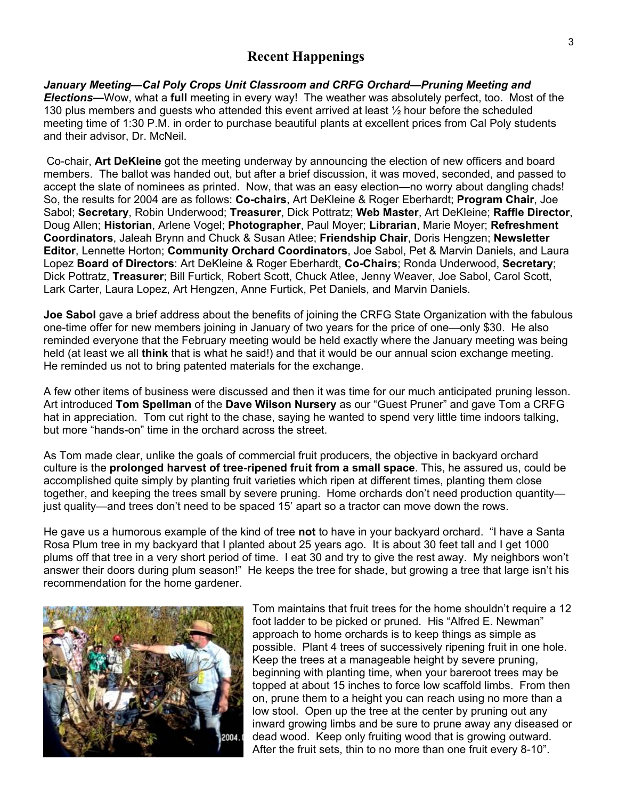#### **Recent Happenings**

*January Meeting—Cal Poly Crops Unit Classroom and CRFG Orchard—Pruning Meeting and Elections—*Wow, what a **full** meeting in every way! The weather was absolutely perfect, too. Most of the 130 plus members and guests who attended this event arrived at least ½ hour before the scheduled meeting time of 1:30 P.M. in order to purchase beautiful plants at excellent prices from Cal Poly students and their advisor, Dr. McNeil.

 Co-chair, **Art DeKleine** got the meeting underway by announcing the election of new officers and board members. The ballot was handed out, but after a brief discussion, it was moved, seconded, and passed to accept the slate of nominees as printed. Now, that was an easy election—no worry about dangling chads! So, the results for 2004 are as follows: **Co-chairs**, Art DeKleine & Roger Eberhardt; **Program Chair**, Joe Sabol; **Secretary**, Robin Underwood; **Treasurer**, Dick Pottratz; **Web Master**, Art DeKleine; **Raffle Director**, Doug Allen; **Historian**, Arlene Vogel; **Photographer**, Paul Moyer; **Librarian**, Marie Moyer; **Refreshment Coordinators**, Jaleah Brynn and Chuck & Susan Atlee; **Friendship Chair**, Doris Hengzen; **Newsletter Editor**, Lennette Horton; **Community Orchard Coordinators**, Joe Sabol, Pet & Marvin Daniels, and Laura Lopez **Board of Directors**: Art DeKleine & Roger Eberhardt, **Co-Chairs**; Ronda Underwood, **Secretary**; Dick Pottratz, **Treasurer**; Bill Furtick, Robert Scott, Chuck Atlee, Jenny Weaver, Joe Sabol, Carol Scott, Lark Carter, Laura Lopez, Art Hengzen, Anne Furtick, Pet Daniels, and Marvin Daniels.

**Joe Sabol** gave a brief address about the benefits of joining the CRFG State Organization with the fabulous one-time offer for new members joining in January of two years for the price of one—only \$30. He also reminded everyone that the February meeting would be held exactly where the January meeting was being held (at least we all **think** that is what he said!) and that it would be our annual scion exchange meeting. He reminded us not to bring patented materials for the exchange.

A few other items of business were discussed and then it was time for our much anticipated pruning lesson. Art introduced **Tom Spellman** of the **Dave Wilson Nursery** as our "Guest Pruner" and gave Tom a CRFG hat in appreciation. Tom cut right to the chase, saying he wanted to spend very little time indoors talking, but more "hands-on" time in the orchard across the street.

As Tom made clear, unlike the goals of commercial fruit producers, the objective in backyard orchard culture is the **prolonged harvest of tree-ripened fruit from a small space**. This, he assured us, could be accomplished quite simply by planting fruit varieties which ripen at different times, planting them close together, and keeping the trees small by severe pruning. Home orchards don't need production quantity just quality—and trees don't need to be spaced 15' apart so a tractor can move down the rows.

He gave us a humorous example of the kind of tree **not** to have in your backyard orchard. "I have a Santa Rosa Plum tree in my backyard that I planted about 25 years ago. It is about 30 feet tall and I get 1000 plums off that tree in a very short period of time. I eat 30 and try to give the rest away. My neighbors won't answer their doors during plum season!" He keeps the tree for shade, but growing a tree that large isn't his recommendation for the home gardener.



Tom maintains that fruit trees for the home shouldn't require a 12 foot ladder to be picked or pruned. His "Alfred E. Newman" approach to home orchards is to keep things as simple as possible. Plant 4 trees of successively ripening fruit in one hole. Keep the trees at a manageable height by severe pruning, beginning with planting time, when your bareroot trees may be topped at about 15 inches to force low scaffold limbs. From then on, prune them to a height you can reach using no more than a low stool. Open up the tree at the center by pruning out any inward growing limbs and be sure to prune away any diseased or dead wood. Keep only fruiting wood that is growing outward. After the fruit sets, thin to no more than one fruit every 8-10".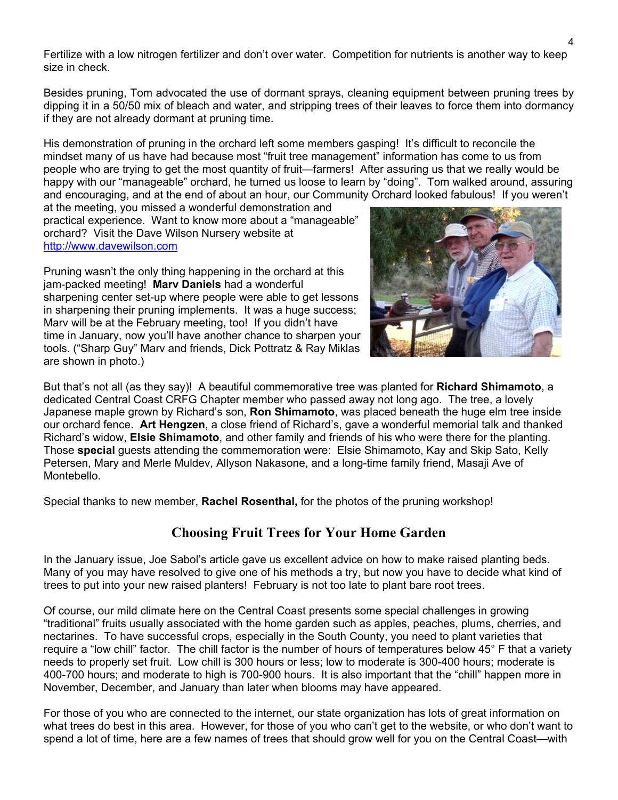Fertilize with a low nitrogen fertilizer and don't over water. Competition for nutrients is another way to keep size in check.

Besides pruning, Tom advocated the use of dormant sprays, cleaning equipment between pruning trees by dipping it in a 50/50 mix of bleach and water, and stripping trees of their leaves to force them into dormancy if they are not already dormant at pruning time.

His demonstration of pruning in the orchard left some members gasping! It's difficult to reconcile the mindset many of us have had because most "fruit tree management" information has come to us from people who are trying to get the most quantity of fruit—farmers! After assuring us that we really would be happy with our "manageable" orchard, he turned us loose to learn by "doing". Tom walked around, assuring and encouraging, and at the end of about an hour, our Community Orchard looked fabulous! If you weren't

at the meeting, you missed a wonderful demonstration and practical experience. Want to know more about a "manageable" orchard? Visit the Dave Wilson Nursery website at [http://www.davewilson.com](http://www.davewilson.com/)

Pruning wasn't the only thing happening in the orchard at this jam-packed meeting! **Marv Daniels** had a wonderful sharpening center set-up where people were able to get lessons in sharpening their pruning implements. It was a huge success; Marv will be at the February meeting, too! If you didn't have time in January, now you'll have another chance to sharpen y our tools. ("Sharp Guy" Marv and friends, Dick Pottratz & Ray Miklas are shown in photo.)



But that's not all (as they say)! A beautiful commemorative tree was planted for **Richard Shimamoto**, a dedicated Central Coast CRFG Chapter member who passed away not long ago. The tree, a lovely Japanese maple grown by Richard's son, **Ron Shimamoto**, was placed beneath the huge elm tree inside our orchard fence. **Art Hengzen**, a close friend of Richard's, gave a wonderful memorial talk and thanked Richard's widow, **Elsie Shimamoto**, and other family and friends of his who were there for the planting. Those **special** guests attending the commemoration were: Elsie Shimamoto, Kay and Skip Sato, Kelly Petersen, Mary and Merle Muldev, Allyson Nakasone, and a long-time family friend, Masaji Ave of Montebello.

Special thanks to new member, **Rachel Rosenthal,** for the photos of the pruning workshop!

## **Choosing Fruit Trees for Your Home Garden**

In the January issue, Joe Sabol's article gave us excellent advice on how to make raised planting beds. Many of you may have resolved to give one of his methods a try, but now you have to decide what kind of trees to put into your new raised planters! February is not too late to plant bare root trees.

Of course, our mild climate here on the Central Coast presents some special challenges in growing "traditional" fruits usually associated with the home garden such as apples, peaches, plums, cherries, and nectarines. To have successful crops, especially in the South County, you need to plant varieties that require a "low chill" factor. The chill factor is the number of hours of temperatures below 45° F that a variety needs to properly set fruit. Low chill is 300 hours or less; low to moderate is 300-400 hours; moderate is 400-700 hours; and moderate to high is 700-900 hours. It is also important that the "chill" happen more in November, December, and January than later when blooms may have appeared.

For those of you who are connected to the internet, our state organization has lots of great information on what trees do best in this area. However, for those of you who can't get to the website, or who don't want to spend a lot of time, here are a few names of trees that should grow well for you on the Central Coast—with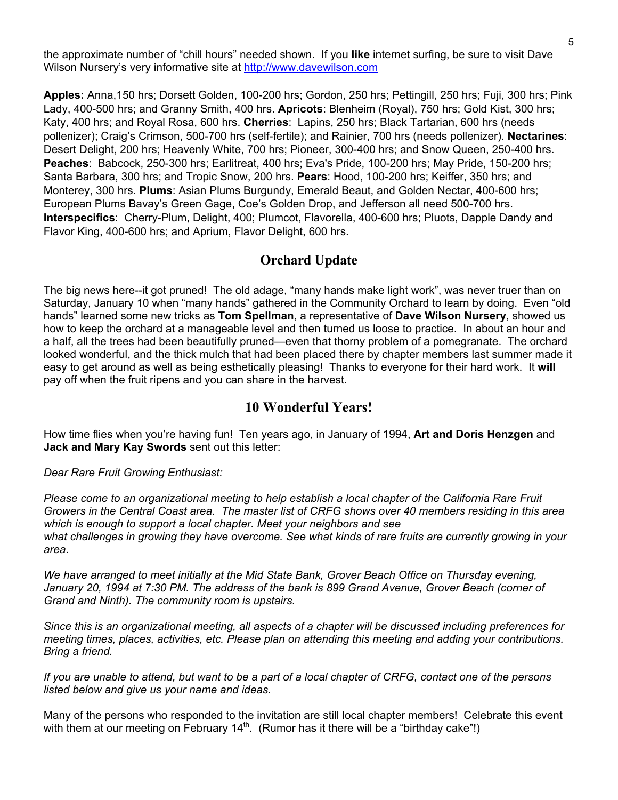the approximate number of "chill hours" needed shown. If you **like** internet surfing, be sure to visit Dave Wilson Nursery's very informative site at [http://www.davewilson.com](http://www.davewilson.com/)

**Apples:** Anna,150 hrs; Dorsett Golden, 100-200 hrs; Gordon, 250 hrs; Pettingill, 250 hrs; Fuji, 300 hrs; Pink Lady, 400-500 hrs; and Granny Smith, 400 hrs. **Apricots**: Blenheim (Royal), 750 hrs; Gold Kist, 300 hrs; Katy, 400 hrs; and Royal Rosa, 600 hrs. **Cherries**: Lapins, 250 hrs; Black Tartarian, 600 hrs (needs pollenizer); Craig's Crimson, 500-700 hrs (self-fertile); and Rainier, 700 hrs (needs pollenizer). **Nectarines**: Desert Delight, 200 hrs; Heavenly White, 700 hrs; Pioneer, 300-400 hrs; and Snow Queen, 250-400 hrs. **Peaches**: Babcock, 250-300 hrs; Earlitreat, 400 hrs; Eva's Pride, 100-200 hrs; May Pride, 150-200 hrs; Santa Barbara, 300 hrs; and Tropic Snow, 200 hrs. **Pears**: Hood, 100-200 hrs; Keiffer, 350 hrs; and Monterey, 300 hrs. **Plums**: Asian Plums Burgundy, Emerald Beaut, and Golden Nectar, 400-600 hrs; European Plums Bavay's Green Gage, Coe's Golden Drop, and Jefferson all need 500-700 hrs. **Interspecifics**: Cherry-Plum, Delight, 400; Plumcot, Flavorella, 400-600 hrs; Pluots, Dapple Dandy and Flavor King, 400-600 hrs; and Aprium, Flavor Delight, 600 hrs.

#### **Orchard Update**

The big news here--it got pruned! The old adage, "many hands make light work", was never truer than on Saturday, January 10 when "many hands" gathered in the Community Orchard to learn by doing. Even "old hands" learned some new tricks as **Tom Spellman**, a representative of **Dave Wilson Nursery**, showed us how to keep the orchard at a manageable level and then turned us loose to practice. In about an hour and a half, all the trees had been beautifully pruned—even that thorny problem of a pomegranate. The orchard looked wonderful, and the thick mulch that had been placed there by chapter members last summer made it easy to get around as well as being esthetically pleasing! Thanks to everyone for their hard work. It **will**  pay off when the fruit ripens and you can share in the harvest.

### **10 Wonderful Years!**

How time flies when you're having fun! Ten years ago, in January of 1994, **Art and Doris Henzgen** and **Jack and Mary Kay Swords** sent out this letter:

*Dear Rare Fruit Growing Enthusiast:* 

*Please come to an organizational meeting to help establish a local chapter of the California Rare Fruit Growers in the Central Coast area. The master list of CRFG shows over 40 members residing in this area which is enough to support a local chapter. Meet your neighbors and see what challenges in growing they have overcome. See what kinds of rare fruits are currently growing in your area.* 

*We have arranged to meet initially at the Mid State Bank, Grover Beach Office on Thursday evening, January 20, 1994 at 7:30 PM. The address of the bank is 899 Grand Avenue, Grover Beach (corner of Grand and Ninth). The community room is upstairs.* 

*Since this is an organizational meeting, all aspects of a chapter will be discussed including preferences for meeting times, places, activities, etc. Please plan on attending this meeting and adding your contributions. Bring a friend.* 

*If you are unable to attend, but want to be a part of a local chapter of CRFG, contact one of the persons listed below and give us your name and ideas.* 

Many of the persons who responded to the invitation are still local chapter members! Celebrate this event with them at our meeting on February  $14<sup>th</sup>$ . (Rumor has it there will be a "birthday cake"!)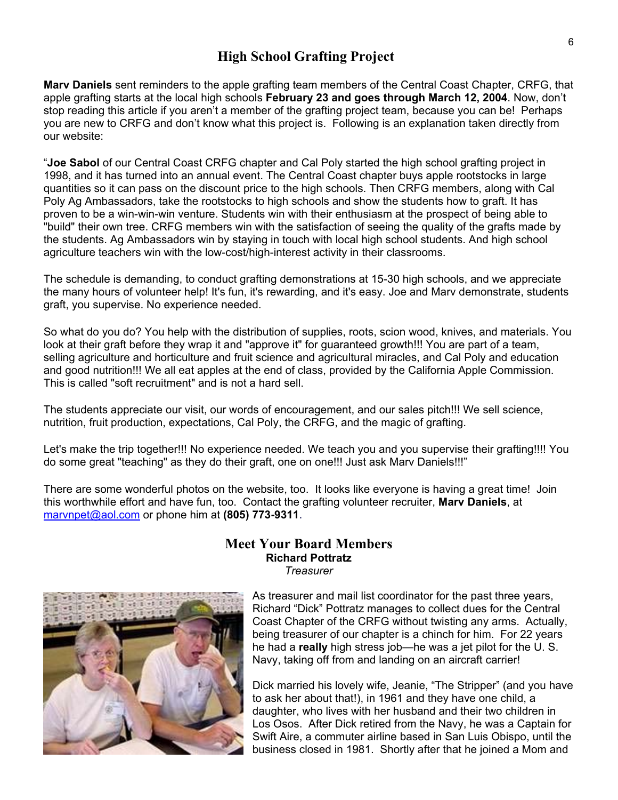## **High School Grafting Project**

**Marv Daniels** sent reminders to the apple grafting team members of the Central Coast Chapter, CRFG, that apple grafting starts at the local high schools **February 23 and goes through March 12, 2004**. Now, don't stop reading this article if you aren't a member of the grafting project team, because you can be! Perhaps you are new to CRFG and don't know what this project is. Following is an explanation taken directly from our website:

"**Joe Sabol** of our Central Coast CRFG chapter and Cal Poly started the high school grafting project in 1998, and it has turned into an annual event. The Central Coast chapter buys apple rootstocks in large quantities so it can pass on the discount price to the high schools. Then CRFG members, along with Cal Poly Ag Ambassadors, take the rootstocks to high schools and show the students how to graft. It has proven to be a win-win-win venture. Students win with their enthusiasm at the prospect of being able to "build" their own tree. CRFG members win with the satisfaction of seeing the quality of the grafts made by the students. Ag Ambassadors win by staying in touch with local high school students. And high school agriculture teachers win with the low-cost/high-interest activity in their classrooms.

The schedule is demanding, to conduct grafting demonstrations at 15-30 high schools, and we appreciate the many hours of volunteer help! It's fun, it's rewarding, and it's easy. Joe and Marv demonstrate, students graft, you supervise. No experience needed.

So what do you do? You help with the distribution of supplies, roots, scion wood, knives, and materials. You look at their graft before they wrap it and "approve it" for guaranteed growth!!! You are part of a team, selling agriculture and horticulture and fruit science and agricultural miracles, and Cal Poly and education and good nutrition!!! We all eat apples at the end of class, provided by the California Apple Commission. This is called "soft recruitment" and is not a hard sell.

The students appreciate our visit, our words of encouragement, and our sales pitch!!! We sell science, nutrition, fruit production, expectations, Cal Poly, the CRFG, and the magic of grafting.

Let's make the trip together!!! No experience needed. We teach you and you supervise their grafting!!!! You do some great "teaching" as they do their graft, one on one!!! Just ask Marv Daniels!!!"

There are some wonderful photos on the website, too. It looks like everyone is having a great time! Join this worthwhile effort and have fun, too. Contact the grafting volunteer recruiter, **Marv Daniels**, at [marvnpet@aol.com](mailto:marvnpet@aol.com) or phone him at **(805) 773-9311**.



#### **Meet Your Board Members Richard Pottratz**  *Treasurer*

As treasurer and mail list coordinator for the past three years, Richard "Dick" Pottratz manages to collect dues for the Central Coast Chapter of the CRFG without twisting any arms. Actually, being treasurer of our chapter is a chinch for him. For 22 years he had a **really** high stress job—he was a jet pilot for the U. S. Navy, taking off from and landing on an aircraft carrier!

Dick married his lovely wife, Jeanie, "The Stripper" (and you h aveto ask her about that!), in 1961 and they have one child, a daughter, who lives with her husband and their two children in Los Osos. After Dick retired from the Navy, he was a Captain for Swift Aire, a commuter airline based in San Luis Obispo, until the business closed in 1981. Shortly after that he joined a Mom and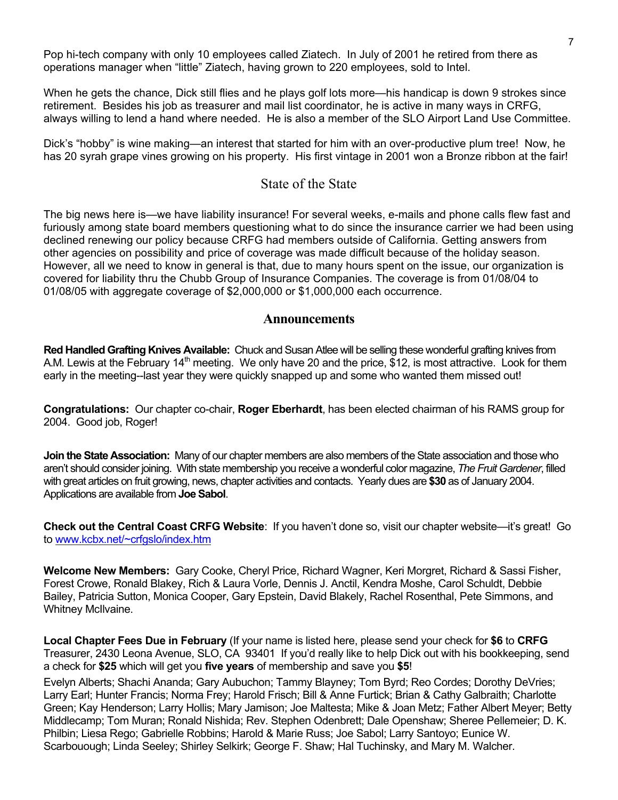Pop hi-tech company with only 10 employees called Ziatech. In July of 2001 he retired from there as operations manager when "little" Ziatech, having grown to 220 employees, sold to Intel.

When he gets the chance, Dick still flies and he plays golf lots more—his handicap is down 9 strokes since retirement. Besides his job as treasurer and mail list coordinator, he is active in many ways in CRFG, always willing to lend a hand where needed. He is also a member of the SLO Airport Land Use Committee.

Dick's "hobby" is wine making—an interest that started for him with an over-productive plum tree! Now, he has 20 syrah grape vines growing on his property. His first vintage in 2001 won a Bronze ribbon at the fair!

#### State of the State

The big news here is—we have liability insurance! For several weeks, e-mails and phone calls flew fast and furiously among state board members questioning what to do since the insurance carrier we had been using declined renewing our policy because CRFG had members outside of California. Getting answers from other agencies on possibility and price of coverage was made difficult because of the holiday season. However, all we need to know in general is that, due to many hours spent on the issue, our organization is covered for liability thru the Chubb Group of Insurance Companies. The coverage is from 01/08/04 to 01/08/05 with aggregate coverage of \$2,000,000 or \$1,000,000 each occurrence.

#### **Announcements**

**Red Handled Grafting Knives Available:** Chuck and Susan Atlee will be selling these wonderful grafting knives from A.M. Lewis at the February 14<sup>th</sup> meeting. We only have 20 and the price, \$12, is most attractive. Look for them early in the meeting--last year they were quickly snapped up and some who wanted them missed out!

**Congratulations:** Our chapter co-chair, **Roger Eberhardt**, has been elected chairman of his RAMS group for 2004. Good job, Roger!

**Join the State Association:** Many of our chapter members are also members of the State association and those who aren't should consider joining. With state membership you receive a wonderful color magazine, *The Fruit Gardener*, filled with great articles on fruit growing, news, chapter activities and contacts. Yearly dues are **\$30** as of January 2004. Applications are available from **Joe Sabol**.

**Check out the Central Coast CRFG Website**: If you haven't done so, visit our chapter website—it's great! Go to [www.kcbx.net/~crfgslo/index.htm](http://www.kcbx.net/~crfgslo/index.htm)

**Welcome New Members:** Gary Cooke, Cheryl Price, Richard Wagner, Keri Morgret, Richard & Sassi Fisher, Forest Crowe, Ronald Blakey, Rich & Laura Vorle, Dennis J. Anctil, Kendra Moshe, Carol Schuldt, Debbie Bailey, Patricia Sutton, Monica Cooper, Gary Epstein, David Blakely, Rachel Rosenthal, Pete Simmons, and Whitney McIlvaine.

**Local Chapter Fees Due in February** (If your name is listed here, please send your check for **\$6** to **CRFG** Treasurer, 2430 Leona Avenue, SLO, CA 93401 If you'd really like to help Dick out with his bookkeeping, send a check for **\$25** which will get you **five years** of membership and save you **\$5**!

Evelyn Alberts; Shachi Ananda; Gary Aubuchon; Tammy Blayney; Tom Byrd; Reo Cordes; Dorothy DeVries; Larry Earl; Hunter Francis; Norma Frey; Harold Frisch; Bill & Anne Furtick; Brian & Cathy Galbraith; Charlotte Green; Kay Henderson; Larry Hollis; Mary Jamison; Joe Maltesta; Mike & Joan Metz; Father Albert Meyer; Betty Middlecamp; Tom Muran; Ronald Nishida; Rev. Stephen Odenbrett; Dale Openshaw; Sheree Pellemeier; D. K. Philbin; Liesa Rego; Gabrielle Robbins; Harold & Marie Russ; Joe Sabol; Larry Santoyo; Eunice W. Scarbouough; Linda Seeley; Shirley Selkirk; George F. Shaw; Hal Tuchinsky, and Mary M. Walcher.